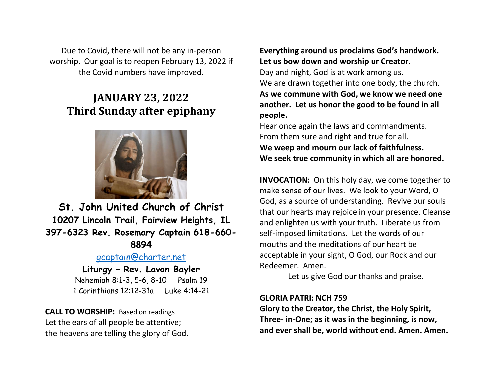Due to Covid, there will not be any in-person worship. Our goal is to reopen February 13, 2022 if the Covid numbers have improved.

# **JANUARY 23, 2022 Third Sunday after epiphany**



**St. John United Church of Christ 10207 Lincoln Trail, Fairview Heights, IL 397-6323 Rev. Rosemary Captain 618-660- 8894**

## [gcaptain@charter.net](mailto:gcaptain@charter.net)

## **Liturgy – Rev. Lavon Bayler** Nehemiah 8:1-3, 5-6, 8-10 Psalm 19

1 Corinthians 12:12-31a Luke 4:14-21

**CALL TO WORSHIP:** Based on readings Let the ears of all people be attentive; the heavens are telling the glory of God. **Everything around us proclaims God's handwork. Let us bow down and worship ur Creator.** Day and night, God is at work among us. We are drawn together into one body, the church. **As we commune with God, we know we need one another. Let us honor the good to be found in all people.**

Hear once again the laws and commandments. From them sure and right and true for all. **We weep and mourn our lack of faithfulness. We seek true community in which all are honored.**

**INVOCATION:** On this holy day, we come together to make sense of our lives. We look to your Word, O God, as a source of understanding. Revive our souls that our hearts may rejoice in your presence. Cleanse and enlighten us with your truth. Liberate us from self-imposed limitations. Let the words of our mouths and the meditations of our heart be acceptable in your sight, O God, our Rock and our Redeemer. Amen.

Let us give God our thanks and praise.

#### **GLORIA PATRI: NCH 759**

**Glory to the Creator, the Christ, the Holy Spirit, Three- in-One; as it was in the beginning, is now, and ever shall be, world without end. Amen. Amen.**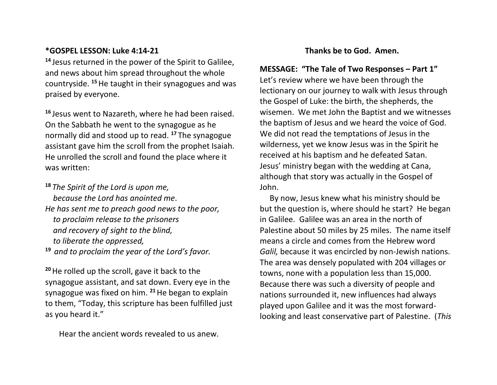### **\*GOSPEL LESSON: Luke 4:14-21**

**<sup>14</sup>** Jesus returned in the power of the Spirit to Galilee, and news about him spread throughout the whole countryside. **<sup>15</sup>**He taught in their synagogues and was praised by everyone.

**<sup>16</sup>** Jesus went to Nazareth, where he had been raised. On the Sabbath he went to the synagogue as he normally did and stood up to read. **<sup>17</sup>** The synagogue assistant gave him the scroll from the prophet Isaiah. He unrolled the scroll and found the place where it was written:

**<sup>18</sup>** *The Spirit of the Lord is upon me, because the Lord has anointed me*. *He has sent me to preach good news to the poor, to proclaim release to the prisoners and recovery of sight to the blind, to liberate the oppressed,*

**<sup>19</sup>** *and to proclaim the year of the Lord's favor.*

**<sup>20</sup>**He rolled up the scroll, gave it back to the synagogue assistant, and sat down. Every eye in the synagogue was fixed on him. **<sup>21</sup>**He began to explain to them, "Today, this scripture has been fulfilled just as you heard it."

Hear the ancient words revealed to us anew.

### **Thanks be to God. Amen.**

**MESSAGE: "The Tale of Two Responses – Part 1"** Let's review where we have been through the lectionary on our journey to walk with Jesus through the Gospel of Luke: the birth, the shepherds, the wisemen. We met John the Baptist and we witnesses the baptism of Jesus and we heard the voice of God. We did not read the temptations of Jesus in the wilderness, yet we know Jesus was in the Spirit he received at his baptism and he defeated Satan. Jesus' ministry began with the wedding at Cana, although that story was actually in the Gospel of John.

 By now, Jesus knew what his ministry should be but the question is, where should he start? He began in Galilee. Galilee was an area in the north of Palestine about 50 miles by 25 miles. The name itself means a circle and comes from the Hebrew word *Galil,* because it was encircled by non-Jewish nations. The area was densely populated with 204 villages or towns, none with a population less than 15,000. Because there was such a diversity of people and nations surrounded it, new influences had always played upon Galilee and it was the most forwardlooking and least conservative part of Palestine. (*This*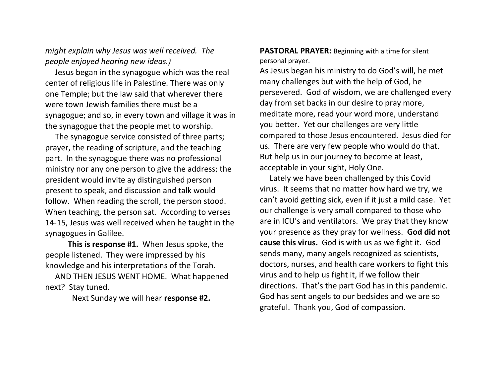## *might explain why Jesus was well received. The people enjoyed hearing new ideas.)*

Jesus began in the synagogue which was the real center of religious life in Palestine. There was only one Temple; but the law said that wherever there were town Jewish families there must be a synagogue; and so, in every town and village it was in the synagogue that the people met to worship.

 The synagogue service consisted of three parts; prayer, the reading of scripture, and the teaching part. In the synagogue there was no professional ministry nor any one person to give the address; the president would invite ay distinguished person present to speak, and discussion and talk would follow. When reading the scroll, the person stood. When teaching, the person sat. According to verses 14-15, Jesus was well received when he taught in the synagogues in Galilee.

**This is response #1.** When Jesus spoke, the people listened. They were impressed by his knowledge and his interpretations of the Torah.

 AND THEN JESUS WENT HOME. What happened next? Stay tuned.

Next Sunday we will hear **response #2.**

**PASTORAL PRAYER:** Beginning with a time for silent personal prayer.

As Jesus began his ministry to do God's will, he met many challenges but with the help of God, he persevered. God of wisdom, we are challenged every day from set backs in our desire to pray more, meditate more, read your word more, understand you better. Yet our challenges are very little compared to those Jesus encountered. Jesus died for us. There are very few people who would do that. But help us in our journey to become at least, acceptable in your sight, Holy One.

 Lately we have been challenged by this Covid virus. It seems that no matter how hard we try, we can't avoid getting sick, even if it just a mild case. Yet our challenge is very small compared to those who are in ICU's and ventilators. We pray that they know your presence as they pray for wellness. **God did not cause this virus.** God is with us as we fight it. God sends many, many angels recognized as scientists, doctors, nurses, and health care workers to fight this virus and to help us fight it, if we follow their directions. That's the part God has in this pandemic. God has sent angels to our bedsides and we are so grateful. Thank you, God of compassion.